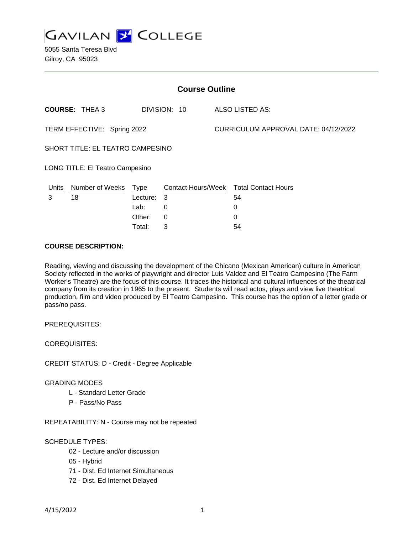

| <b>Course Outline</b>            |                      |             |              |                                      |                                        |
|----------------------------------|----------------------|-------------|--------------|--------------------------------------|----------------------------------------|
|                                  | <b>COURSE: THEA3</b> |             | DIVISION: 10 |                                      | ALSO LISTED AS:                        |
| TERM EFFECTIVE: Spring 2022      |                      |             |              | CURRICULUM APPROVAL DATE: 04/12/2022 |                                        |
| SHORT TITLE: EL TEATRO CAMPESINO |                      |             |              |                                      |                                        |
| LONG TITLE: El Teatro Campesino  |                      |             |              |                                      |                                        |
| Units                            | Number of Weeks      | <u>Type</u> |              |                                      | Contact Hours/Week Total Contact Hours |
| 3                                | 18                   | Lecture:    | 3            |                                      | 54                                     |
|                                  |                      | Lab:        | 0            |                                      | 0                                      |
|                                  |                      | Other:      | 0            |                                      | 0                                      |
|                                  |                      | Total:      | 3            |                                      | 54                                     |

### **COURSE DESCRIPTION:**

Reading, viewing and discussing the development of the Chicano (Mexican American) culture in American Society reflected in the works of playwright and director Luis Valdez and El Teatro Campesino (The Farm Worker's Theatre) are the focus of this course. It traces the historical and cultural influences of the theatrical company from its creation in 1965 to the present. Students will read actos, plays and view live theatrical production, film and video produced by El Teatro Campesino. This course has the option of a letter grade or pass/no pass.

PREREQUISITES:

COREQUISITES:

CREDIT STATUS: D - Credit - Degree Applicable

#### GRADING MODES

- L Standard Letter Grade
- P Pass/No Pass

REPEATABILITY: N - Course may not be repeated

#### SCHEDULE TYPES:

- 02 Lecture and/or discussion
- 05 Hybrid
- 71 Dist. Ed Internet Simultaneous
- 72 Dist. Ed Internet Delayed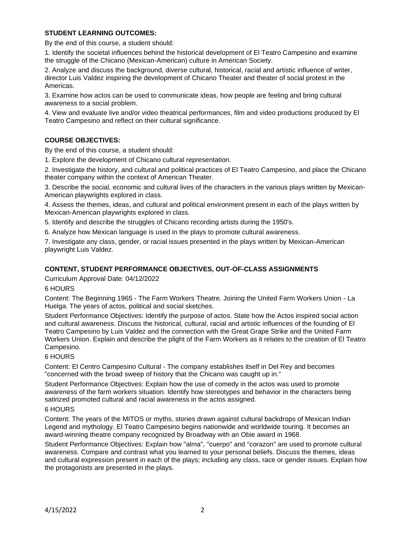## **STUDENT LEARNING OUTCOMES:**

By the end of this course, a student should:

1. Identify the societal influences behind the historical development of El Teatro Campesino and examine the struggle of the Chicano (Mexican-American) culture in American Society.

2. Analyze and discuss the background, diverse cultural, historical, racial and artistic influence of writer, director Luis Valdez inspiring the development of Chicano Theater and theater of social protest in the Americas.

3. Examine how actos can be used to communicate ideas, how people are feeling and bring cultural awareness to a social problem.

4. View and evaluate live and/or video theatrical performances, film and video productions produced by El Teatro Campesino and reflect on their cultural significance.

## **COURSE OBJECTIVES:**

By the end of this course, a student should:

1. Explore the development of Chicano cultural representation.

2. Investigate the history, and cultural and political practices of El Teatro Campesino, and place the Chicano theater company within the context of American Theater.

3. Describe the social, economic and cultural lives of the characters in the various plays written by Mexican-American playwrights explored in class.

4. Assess the themes, ideas, and cultural and political environment present in each of the plays written by Mexican-American playwrights explored in class.

5. Identify and describe the struggles of Chicano recording artists during the 1950's.

6. Analyze how Mexican language is used in the plays to promote cultural awareness.

7. Investigate any class, gender, or racial issues presented in the plays written by Mexican-American playwright Luis Valdez.

## **CONTENT, STUDENT PERFORMANCE OBJECTIVES, OUT-OF-CLASS ASSIGNMENTS**

Curriculum Approval Date: 04/12/2022

#### 6 HOURS

Content: The Beginning 1965 - The Farm Workers Theatre. Joining the United Farm Workers Union - La Huelga. The years of actos, political and social sketches.

Student Performance Objectives: Identify the purpose of actos. State how the Actos inspired social action and cultural awareness. Discuss the historical, cultural, racial and artistic influences of the founding of El Teatro Campesino by Luis Valdez and the connection with the Great Grape Strike and the United Farm Workers Union. Explain and describe the plight of the Farm Workers as it relates to the creation of El Teatro Campesino.

#### 6 HOURS

Content: El Centro Campesino Cultural - The company establishes itself in Del Rey and becomes "concerned with the broad sweep of history that the Chicano was caught up in."

Student Performance Objectives: Explain how the use of comedy in the actos was used to promote awareness of the farm workers situation. Identify how stereotypes and behavior in the characters being satirized promoted cultural and racial awareness in the actos assigned.

#### 6 HOURS

Content: The years of the MITOS or myths, stories drawn against cultural backdrops of Mexican Indian Legend and mythology. El Teatro Campesino begins nationwide and worldwide touring. It becomes an award-winning theatre company recognized by Broadway with an Obie award in 1968.

Student Performance Objectives: Explain how "alma", "cuerpo" and "corazon" are used to promote cultural awareness. Compare and contrast what you learned to your personal beliefs. Discuss the themes, ideas and cultural expression present in each of the plays; including any class, race or gender issues. Explain how the protagonists are presented in the plays.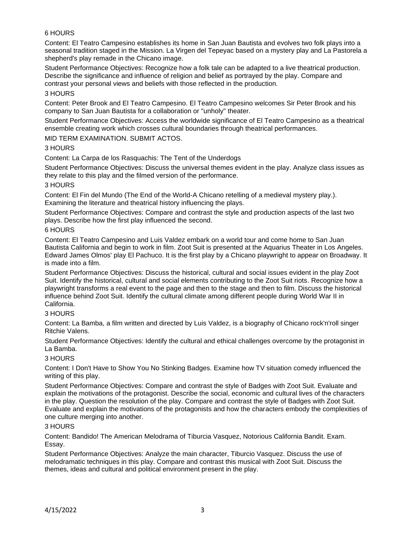# 6 HOURS

Content: El Teatro Campesino establishes its home in San Juan Bautista and evolves two folk plays into a seasonal tradition staged in the Mission. La Virgen del Tepeyac based on a mystery play and La Pastorela a shepherd's play remade in the Chicano image.

Student Performance Objectives: Recognize how a folk tale can be adapted to a live theatrical production. Describe the significance and influence of religion and belief as portrayed by the play. Compare and contrast your personal views and beliefs with those reflected in the production.

### 3 HOURS

Content: Peter Brook and El Teatro Campesino. El Teatro Campesino welcomes Sir Peter Brook and his company to San Juan Bautista for a collaboration or "unholy" theater.

Student Performance Objectives: Access the worldwide significance of El Teatro Campesino as a theatrical ensemble creating work which crosses cultural boundaries through theatrical performances.

### MID TERM EXAMINATION. SUBMIT ACTOS.

### 3 HOURS

Content: La Carpa de los Rasquachis: The Tent of the Underdogs

Student Performance Objectives: Discuss the universal themes evident in the play. Analyze class issues as they relate to this play and the filmed version of the performance.

### 3 HOURS

Content: El Fin del Mundo (The End of the World-A Chicano retelling of a medieval mystery play.). Examining the literature and theatrical history influencing the plays.

Student Performance Objectives: Compare and contrast the style and production aspects of the last two plays. Describe how the first play influenced the second.

### 6 HOURS

Content: El Teatro Campesino and Luis Valdez embark on a world tour and come home to San Juan Bautista California and begin to work in film. Zoot Suit is presented at the Aquarius Theater in Los Angeles. Edward James Olmos' play El Pachuco. It is the first play by a Chicano playwright to appear on Broadway. It is made into a film.

Student Performance Objectives: Discuss the historical, cultural and social issues evident in the play Zoot Suit. Identify the historical, cultural and social elements contributing to the Zoot Suit riots. Recognize how a playwright transforms a real event to the page and then to the stage and then to film. Discuss the historical influence behind Zoot Suit. Identify the cultural climate among different people during World War II in California.

## 3 HOURS

Content: La Bamba, a film written and directed by Luis Valdez, is a biography of Chicano rock'n'roll singer Ritchie Valens.

Student Performance Objectives: Identify the cultural and ethical challenges overcome by the protagonist in La Bamba.

## 3 HOURS

Content: I Don't Have to Show You No Stinking Badges. Examine how TV situation comedy influenced the writing of this play.

Student Performance Objectives: Compare and contrast the style of Badges with Zoot Suit. Evaluate and explain the motivations of the protagonist. Describe the social, economic and cultural lives of the characters in the play. Question the resolution of the play. Compare and contrast the style of Badges with Zoot Suit. Evaluate and explain the motivations of the protagonists and how the characters embody the complexities of one culture merging into another.

#### 3 HOURS

Content: Bandido! The American Melodrama of Tiburcia Vasquez, Notorious California Bandit. Exam. Essay.

Student Performance Objectives: Analyze the main character, Tiburcio Vasquez. Discuss the use of melodramatic techniques in this play. Compare and contrast this musical with Zoot Suit. Discuss the themes, ideas and cultural and political environment present in the play.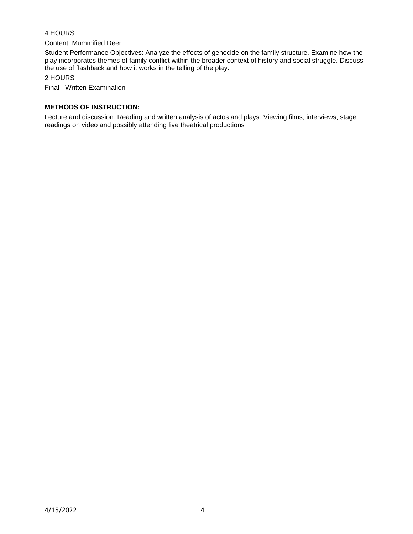# 4 HOURS

Content: Mummified Deer

Student Performance Objectives: Analyze the effects of genocide on the family structure. Examine how the play incorporates themes of family conflict within the broader context of history and social struggle. Discuss the use of flashback and how it works in the telling of the play.

# 2 HOURS

Final - Written Examination

## **METHODS OF INSTRUCTION:**

Lecture and discussion. Reading and written analysis of actos and plays. Viewing films, interviews, stage readings on video and possibly attending live theatrical productions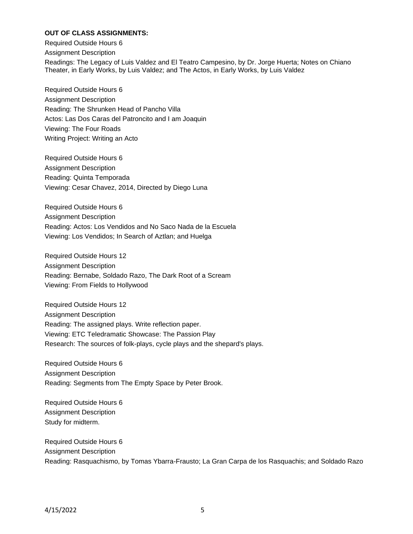# **OUT OF CLASS ASSIGNMENTS:**

Required Outside Hours 6 Assignment Description Readings: The Legacy of Luis Valdez and El Teatro Campesino, by Dr. Jorge Huerta; Notes on Chiano Theater, in Early Works, by Luis Valdez; and The Actos, in Early Works, by Luis Valdez

Required Outside Hours 6 Assignment Description Reading: The Shrunken Head of Pancho Villa Actos: Las Dos Caras del Patroncito and I am Joaquin Viewing: The Four Roads Writing Project: Writing an Acto

Required Outside Hours 6 Assignment Description Reading: Quinta Temporada Viewing: Cesar Chavez, 2014, Directed by Diego Luna

Required Outside Hours 6 Assignment Description Reading: Actos: Los Vendidos and No Saco Nada de la Escuela Viewing: Los Vendidos; In Search of Aztlan; and Huelga

Required Outside Hours 12 Assignment Description Reading: Bernabe, Soldado Razo, The Dark Root of a Scream Viewing: From Fields to Hollywood

Required Outside Hours 12 Assignment Description Reading: The assigned plays. Write reflection paper. Viewing: ETC Teledramatic Showcase: The Passion Play Research: The sources of folk-plays, cycle plays and the shepard's plays.

Required Outside Hours 6 Assignment Description Reading: Segments from The Empty Space by Peter Brook.

Required Outside Hours 6 Assignment Description Study for midterm.

Required Outside Hours 6 Assignment Description Reading: Rasquachismo, by Tomas Ybarra-Frausto; La Gran Carpa de los Rasquachis; and Soldado Razo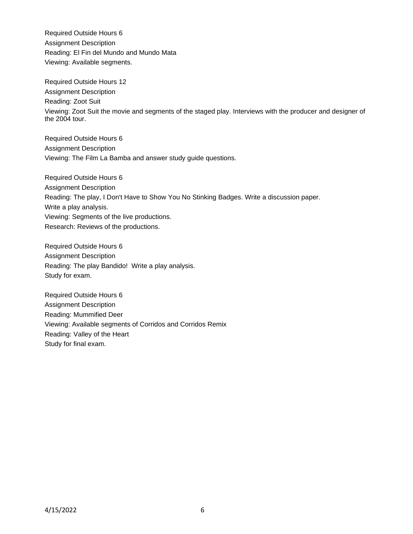Required Outside Hours 6 Assignment Description Reading: El Fin del Mundo and Mundo Mata Viewing: Available segments.

Required Outside Hours 12 Assignment Description Reading: Zoot Suit Viewing: Zoot Suit the movie and segments of the staged play. Interviews with the producer and designer of the 2004 tour.

Required Outside Hours 6 Assignment Description Viewing: The Film La Bamba and answer study guide questions.

Required Outside Hours 6 Assignment Description Reading: The play, I Don't Have to Show You No Stinking Badges. Write a discussion paper. Write a play analysis. Viewing: Segments of the live productions. Research: Reviews of the productions.

Required Outside Hours 6 Assignment Description Reading: The play Bandido! Write a play analysis. Study for exam.

Required Outside Hours 6 Assignment Description Reading: Mummified Deer Viewing: Available segments of Corridos and Corridos Remix Reading: Valley of the Heart Study for final exam.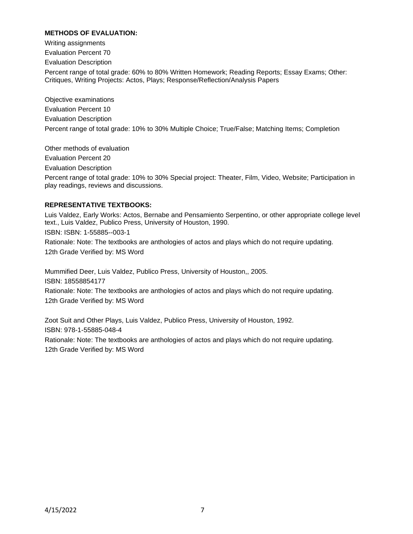# **METHODS OF EVALUATION:**

Writing assignments Evaluation Percent 70 Evaluation Description Percent range of total grade: 60% to 80% Written Homework; Reading Reports; Essay Exams; Other: Critiques, Writing Projects: Actos, Plays; Response/Reflection/Analysis Papers

Objective examinations Evaluation Percent 10 Evaluation Description Percent range of total grade: 10% to 30% Multiple Choice; True/False; Matching Items; Completion

Other methods of evaluation Evaluation Percent 20 Evaluation Description Percent range of total grade: 10% to 30% Special project: Theater, Film, Video, Website; Participation in play readings, reviews and discussions.

### **REPRESENTATIVE TEXTBOOKS:**

Luis Valdez, Early Works: Actos, Bernabe and Pensamiento Serpentino, or other appropriate college level text., Luis Valdez, Publico Press, University of Houston, 1990. ISBN: ISBN: 1-55885--003-1 Rationale: Note: The textbooks are anthologies of actos and plays which do not require updating. 12th Grade Verified by: MS Word

Mummified Deer, Luis Valdez, Publico Press, University of Houston,, 2005. ISBN: 18558854177 Rationale: Note: The textbooks are anthologies of actos and plays which do not require updating. 12th Grade Verified by: MS Word

Zoot Suit and Other Plays, Luis Valdez, Publico Press, University of Houston, 1992. ISBN: 978-1-55885-048-4 Rationale: Note: The textbooks are anthologies of actos and plays which do not require updating. 12th Grade Verified by: MS Word